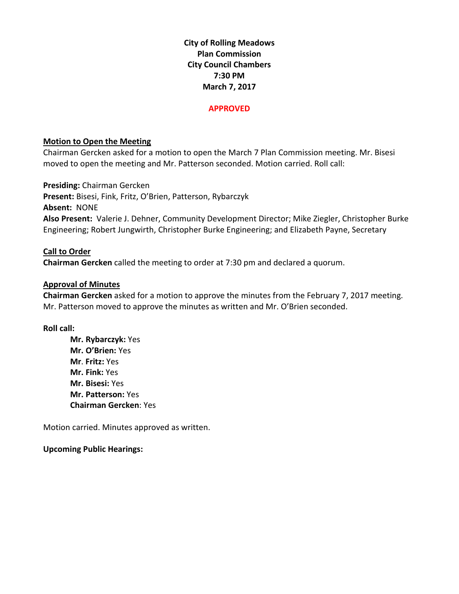**City of Rolling Meadows Plan Commission City Council Chambers 7:30 PM March 7, 2017**

#### **APPROVED**

# **Motion to Open the Meeting**

Chairman Gercken asked for a motion to open the March 7 Plan Commission meeting. Mr. Bisesi moved to open the meeting and Mr. Patterson seconded. Motion carried. Roll call:

**Presiding:** Chairman Gercken **Present:** Bisesi, Fink, Fritz, O'Brien, Patterson, Rybarczyk **Absent:** NONE **Also Present:** Valerie J. Dehner, Community Development Director; Mike Ziegler, Christopher Burke Engineering; Robert Jungwirth, Christopher Burke Engineering; and Elizabeth Payne, Secretary

# **Call to Order**

**Chairman Gercken** called the meeting to order at 7:30 pm and declared a quorum.

### **Approval of Minutes**

**Chairman Gercken** asked for a motion to approve the minutes from the February 7, 2017 meeting. Mr. Patterson moved to approve the minutes as written and Mr. O'Brien seconded.

### **Roll call:**

**Mr. Rybarczyk:** Yes **Mr. O'Brien:** Yes **Mr**. **Fritz:** Yes **Mr. Fink:** Yes **Mr. Bisesi:** Yes **Mr. Patterson:** Yes **Chairman Gercken**: Yes

Motion carried. Minutes approved as written.

### **Upcoming Public Hearings:**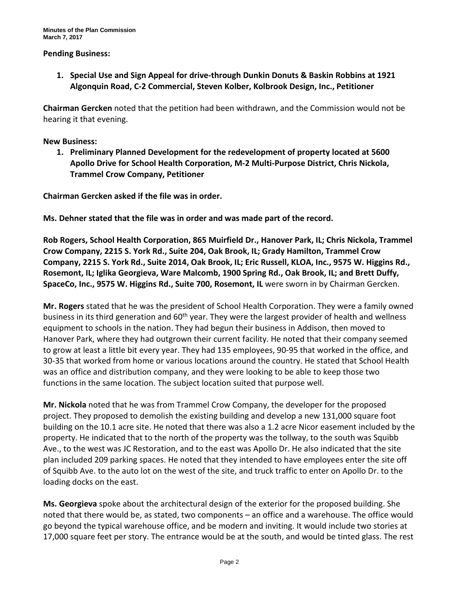### **Pending Business:**

**1. Special Use and Sign Appeal for drive-through Dunkin Donuts & Baskin Robbins at 1921 Algonquin Road, C-2 Commercial, Steven Kolber, Kolbrook Design, Inc., Petitioner**

**Chairman Gercken** noted that the petition had been withdrawn, and the Commission would not be hearing it that evening.

#### **New Business:**

**1. Preliminary Planned Development for the redevelopment of property located at 5600 Apollo Drive for School Health Corporation, M-2 Multi-Purpose District, Chris Nickola, Trammel Crow Company, Petitioner**

**Chairman Gercken asked if the file was in order.**

**Ms. Dehner stated that the file was in order and was made part of the record.**

**Rob Rogers, School Health Corporation, 865 Muirfield Dr., Hanover Park, IL; Chris Nickola, Trammel Crow Company, 2215 S. York Rd., Suite 204, Oak Brook, IL; Grady Hamilton, Trammel Crow Company, 2215 S. York Rd., Suite 2014, Oak Brook, IL; Eric Russell, KLOA, Inc., 9575 W. Higgins Rd., Rosemont, IL; Iglika Georgieva, Ware Malcomb, 1900 Spring Rd., Oak Brook, IL; and Brett Duffy, SpaceCo, Inc., 9575 W. Higgins Rd., Suite 700, Rosemont, IL** were sworn in by Chairman Gercken.

**Mr. Rogers** stated that he was the president of School Health Corporation. They were a family owned business in its third generation and 60<sup>th</sup> year. They were the largest provider of health and wellness equipment to schools in the nation. They had begun their business in Addison, then moved to Hanover Park, where they had outgrown their current facility. He noted that their company seemed to grow at least a little bit every year. They had 135 employees, 90-95 that worked in the office, and 30-35 that worked from home or various locations around the country. He stated that School Health was an office and distribution company, and they were looking to be able to keep those two functions in the same location. The subject location suited that purpose well.

**Mr. Nickola** noted that he was from Trammel Crow Company, the developer for the proposed project. They proposed to demolish the existing building and develop a new 131,000 square foot building on the 10.1 acre site. He noted that there was also a 1.2 acre Nicor easement included by the property. He indicated that to the north of the property was the tollway, to the south was Squibb Ave., to the west was JC Restoration, and to the east was Apollo Dr. He also indicated that the site plan included 209 parking spaces. He noted that they intended to have employees enter the site off of Squibb Ave. to the auto lot on the west of the site, and truck traffic to enter on Apollo Dr. to the loading docks on the east.

**Ms. Georgieva** spoke about the architectural design of the exterior for the proposed building. She noted that there would be, as stated, two components – an office and a warehouse. The office would go beyond the typical warehouse office, and be modern and inviting. It would include two stories at 17,000 square feet per story. The entrance would be at the south, and would be tinted glass. The rest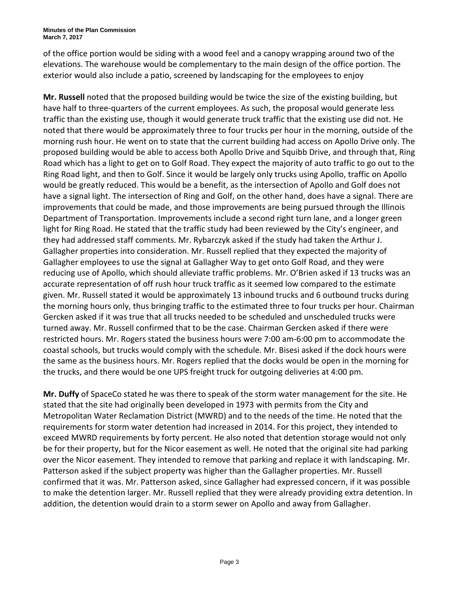of the office portion would be siding with a wood feel and a canopy wrapping around two of the elevations. The warehouse would be complementary to the main design of the office portion. The exterior would also include a patio, screened by landscaping for the employees to enjoy

**Mr. Russell** noted that the proposed building would be twice the size of the existing building, but have half to three-quarters of the current employees. As such, the proposal would generate less traffic than the existing use, though it would generate truck traffic that the existing use did not. He noted that there would be approximately three to four trucks per hour in the morning, outside of the morning rush hour. He went on to state that the current building had access on Apollo Drive only. The proposed building would be able to access both Apollo Drive and Squibb Drive, and through that, Ring Road which has a light to get on to Golf Road. They expect the majority of auto traffic to go out to the Ring Road light, and then to Golf. Since it would be largely only trucks using Apollo, traffic on Apollo would be greatly reduced. This would be a benefit, as the intersection of Apollo and Golf does not have a signal light. The intersection of Ring and Golf, on the other hand, does have a signal. There are improvements that could be made, and those improvements are being pursued through the Illinois Department of Transportation. Improvements include a second right turn lane, and a longer green light for Ring Road. He stated that the traffic study had been reviewed by the City's engineer, and they had addressed staff comments. Mr. Rybarczyk asked if the study had taken the Arthur J. Gallagher properties into consideration. Mr. Russell replied that they expected the majority of Gallagher employees to use the signal at Gallagher Way to get onto Golf Road, and they were reducing use of Apollo, which should alleviate traffic problems. Mr. O'Brien asked if 13 trucks was an accurate representation of off rush hour truck traffic as it seemed low compared to the estimate given. Mr. Russell stated it would be approximately 13 inbound trucks and 6 outbound trucks during the morning hours only, thus bringing traffic to the estimated three to four trucks per hour. Chairman Gercken asked if it was true that all trucks needed to be scheduled and unscheduled trucks were turned away. Mr. Russell confirmed that to be the case. Chairman Gercken asked if there were restricted hours. Mr. Rogers stated the business hours were 7:00 am-6:00 pm to accommodate the coastal schools, but trucks would comply with the schedule. Mr. Bisesi asked if the dock hours were the same as the business hours. Mr. Rogers replied that the docks would be open in the morning for the trucks, and there would be one UPS freight truck for outgoing deliveries at 4:00 pm.

**Mr. Duffy** of SpaceCo stated he was there to speak of the storm water management for the site. He stated that the site had originally been developed in 1973 with permits from the City and Metropolitan Water Reclamation District (MWRD) and to the needs of the time. He noted that the requirements for storm water detention had increased in 2014. For this project, they intended to exceed MWRD requirements by forty percent. He also noted that detention storage would not only be for their property, but for the Nicor easement as well. He noted that the original site had parking over the Nicor easement. They intended to remove that parking and replace it with landscaping. Mr. Patterson asked if the subject property was higher than the Gallagher properties. Mr. Russell confirmed that it was. Mr. Patterson asked, since Gallagher had expressed concern, if it was possible to make the detention larger. Mr. Russell replied that they were already providing extra detention. In addition, the detention would drain to a storm sewer on Apollo and away from Gallagher.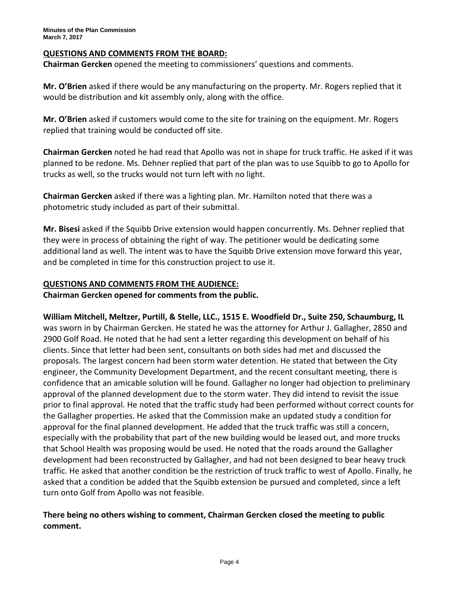# **QUESTIONS AND COMMENTS FROM THE BOARD:**

**Chairman Gercken** opened the meeting to commissioners' questions and comments.

**Mr. O'Brien** asked if there would be any manufacturing on the property. Mr. Rogers replied that it would be distribution and kit assembly only, along with the office.

**Mr. O'Brien** asked if customers would come to the site for training on the equipment. Mr. Rogers replied that training would be conducted off site.

**Chairman Gercken** noted he had read that Apollo was not in shape for truck traffic. He asked if it was planned to be redone. Ms. Dehner replied that part of the plan was to use Squibb to go to Apollo for trucks as well, so the trucks would not turn left with no light.

**Chairman Gercken** asked if there was a lighting plan. Mr. Hamilton noted that there was a photometric study included as part of their submittal.

**Mr. Bisesi** asked if the Squibb Drive extension would happen concurrently. Ms. Dehner replied that they were in process of obtaining the right of way. The petitioner would be dedicating some additional land as well. The intent was to have the Squibb Drive extension move forward this year, and be completed in time for this construction project to use it.

# **QUESTIONS AND COMMENTS FROM THE AUDIENCE:**

**Chairman Gercken opened for comments from the public.** 

**William Mitchell, Meltzer, Purtill, & Stelle, LLC., 1515 E. Woodfield Dr., Suite 250, Schaumburg, IL** was sworn in by Chairman Gercken. He stated he was the attorney for Arthur J. Gallagher, 2850 and 2900 Golf Road. He noted that he had sent a letter regarding this development on behalf of his clients. Since that letter had been sent, consultants on both sides had met and discussed the proposals. The largest concern had been storm water detention. He stated that between the City engineer, the Community Development Department, and the recent consultant meeting, there is confidence that an amicable solution will be found. Gallagher no longer had objection to preliminary approval of the planned development due to the storm water. They did intend to revisit the issue prior to final approval. He noted that the traffic study had been performed without correct counts for the Gallagher properties. He asked that the Commission make an updated study a condition for approval for the final planned development. He added that the truck traffic was still a concern, especially with the probability that part of the new building would be leased out, and more trucks that School Health was proposing would be used. He noted that the roads around the Gallagher development had been reconstructed by Gallagher, and had not been designed to bear heavy truck traffic. He asked that another condition be the restriction of truck traffic to west of Apollo. Finally, he asked that a condition be added that the Squibb extension be pursued and completed, since a left turn onto Golf from Apollo was not feasible.

# **There being no others wishing to comment, Chairman Gercken closed the meeting to public comment.**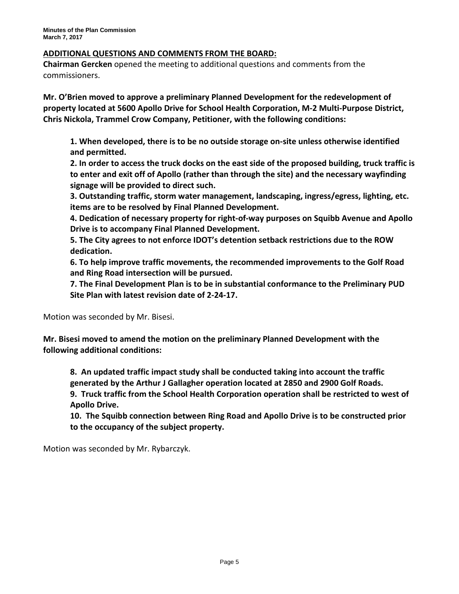# **ADDITIONAL QUESTIONS AND COMMENTS FROM THE BOARD:**

**Chairman Gercken** opened the meeting to additional questions and comments from the commissioners.

**Mr. O'Brien moved to approve a preliminary Planned Development for the redevelopment of property located at 5600 Apollo Drive for School Health Corporation, M-2 Multi-Purpose District, Chris Nickola, Trammel Crow Company, Petitioner, with the following conditions:**

**1. When developed, there is to be no outside storage on-site unless otherwise identified and permitted.**

**2. In order to access the truck docks on the east side of the proposed building, truck traffic is to enter and exit off of Apollo (rather than through the site) and the necessary wayfinding signage will be provided to direct such.**

**3. Outstanding traffic, storm water management, landscaping, ingress/egress, lighting, etc. items are to be resolved by Final Planned Development.**

**4. Dedication of necessary property for right-of-way purposes on Squibb Avenue and Apollo Drive is to accompany Final Planned Development.**

**5. The City agrees to not enforce IDOT's detention setback restrictions due to the ROW dedication.**

**6. To help improve traffic movements, the recommended improvements to the Golf Road and Ring Road intersection will be pursued.** 

**7. The Final Development Plan is to be in substantial conformance to the Preliminary PUD Site Plan with latest revision date of 2-24-17.**

Motion was seconded by Mr. Bisesi.

**Mr. Bisesi moved to amend the motion on the preliminary Planned Development with the following additional conditions:**

**8. An updated traffic impact study shall be conducted taking into account the traffic generated by the Arthur J Gallagher operation located at 2850 and 2900 Golf Roads.**

**9. Truck traffic from the School Health Corporation operation shall be restricted to west of Apollo Drive.**

**10. The Squibb connection between Ring Road and Apollo Drive is to be constructed prior to the occupancy of the subject property.**

Motion was seconded by Mr. Rybarczyk.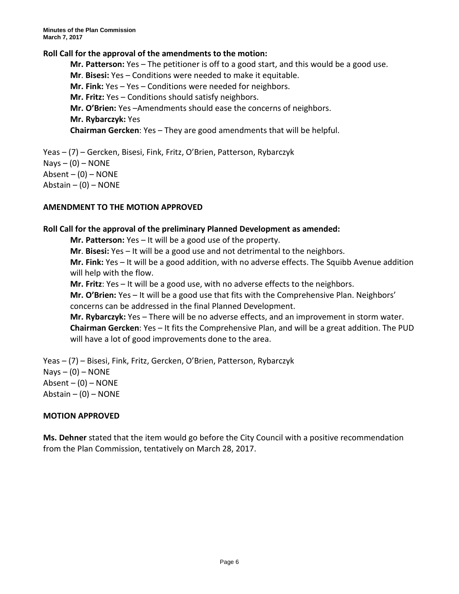### **Roll Call for the approval of the amendments to the motion:**

**Mr. Patterson:** Yes – The petitioner is off to a good start, and this would be a good use. **Mr**. **Bisesi:** Yes – Conditions were needed to make it equitable. **Mr. Fink:** Yes – Yes – Conditions were needed for neighbors. **Mr. Fritz:** Yes – Conditions should satisfy neighbors. **Mr. O'Brien:** Yes –Amendments should ease the concerns of neighbors. **Mr. Rybarczyk:** Yes **Chairman Gercken**: Yes – They are good amendments that will be helpful.

Yeas – (7) – Gercken, Bisesi, Fink, Fritz, O'Brien, Patterson, Rybarczyk  $Nays - (0) - NONE$ Absent  $-$  (0)  $-$  NONE Abstain  $-$  (0)  $-$  NONE

### **AMENDMENT TO THE MOTION APPROVED**

### **Roll Call for the approval of the preliminary Planned Development as amended:**

**Mr. Patterson:** Yes – It will be a good use of the property.

**Mr**. **Bisesi:** Yes – It will be a good use and not detrimental to the neighbors.

**Mr. Fink:** Yes – It will be a good addition, with no adverse effects. The Squibb Avenue addition will help with the flow.

**Mr. Fritz**: Yes – It will be a good use, with no adverse effects to the neighbors.

**Mr. O'Brien:** Yes – It will be a good use that fits with the Comprehensive Plan. Neighbors' concerns can be addressed in the final Planned Development.

**Mr. Rybarczyk:** Yes – There will be no adverse effects, and an improvement in storm water. **Chairman Gercken**: Yes – It fits the Comprehensive Plan, and will be a great addition. The PUD will have a lot of good improvements done to the area.

Yeas – (7) – Bisesi, Fink, Fritz, Gercken, O'Brien, Patterson, Rybarczyk  $Nays - (0) - NONE$ Absent  $-$  (0)  $-$  NONE Abstain  $-$  (0)  $-$  NONE

### **MOTION APPROVED**

**Ms. Dehner** stated that the item would go before the City Council with a positive recommendation from the Plan Commission, tentatively on March 28, 2017.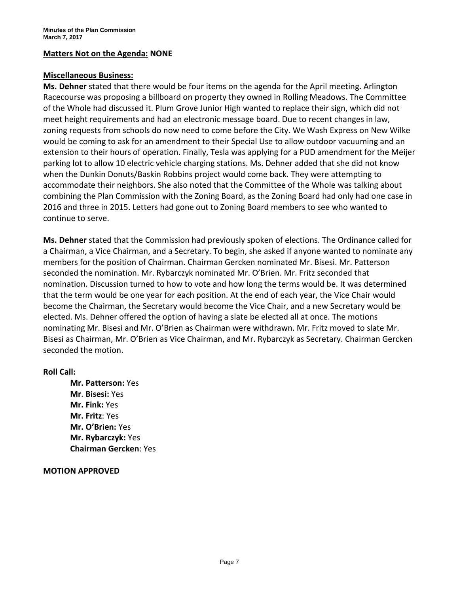# **Matters Not on the Agenda: NONE**

#### **Miscellaneous Business:**

**Ms. Dehner** stated that there would be four items on the agenda for the April meeting. Arlington Racecourse was proposing a billboard on property they owned in Rolling Meadows. The Committee of the Whole had discussed it. Plum Grove Junior High wanted to replace their sign, which did not meet height requirements and had an electronic message board. Due to recent changes in law, zoning requests from schools do now need to come before the City. We Wash Express on New Wilke would be coming to ask for an amendment to their Special Use to allow outdoor vacuuming and an extension to their hours of operation. Finally, Tesla was applying for a PUD amendment for the Meijer parking lot to allow 10 electric vehicle charging stations. Ms. Dehner added that she did not know when the Dunkin Donuts/Baskin Robbins project would come back. They were attempting to accommodate their neighbors. She also noted that the Committee of the Whole was talking about combining the Plan Commission with the Zoning Board, as the Zoning Board had only had one case in 2016 and three in 2015. Letters had gone out to Zoning Board members to see who wanted to continue to serve.

**Ms. Dehner** stated that the Commission had previously spoken of elections. The Ordinance called for a Chairman, a Vice Chairman, and a Secretary. To begin, she asked if anyone wanted to nominate any members for the position of Chairman. Chairman Gercken nominated Mr. Bisesi. Mr. Patterson seconded the nomination. Mr. Rybarczyk nominated Mr. O'Brien. Mr. Fritz seconded that nomination. Discussion turned to how to vote and how long the terms would be. It was determined that the term would be one year for each position. At the end of each year, the Vice Chair would become the Chairman, the Secretary would become the Vice Chair, and a new Secretary would be elected. Ms. Dehner offered the option of having a slate be elected all at once. The motions nominating Mr. Bisesi and Mr. O'Brien as Chairman were withdrawn. Mr. Fritz moved to slate Mr. Bisesi as Chairman, Mr. O'Brien as Vice Chairman, and Mr. Rybarczyk as Secretary. Chairman Gercken seconded the motion.

### **Roll Call:**

**Mr. Patterson:** Yes **Mr**. **Bisesi:** Yes **Mr. Fink:** Yes **Mr. Fritz**: Yes **Mr. O'Brien:** Yes **Mr. Rybarczyk:** Yes **Chairman Gercken**: Yes

#### **MOTION APPROVED**